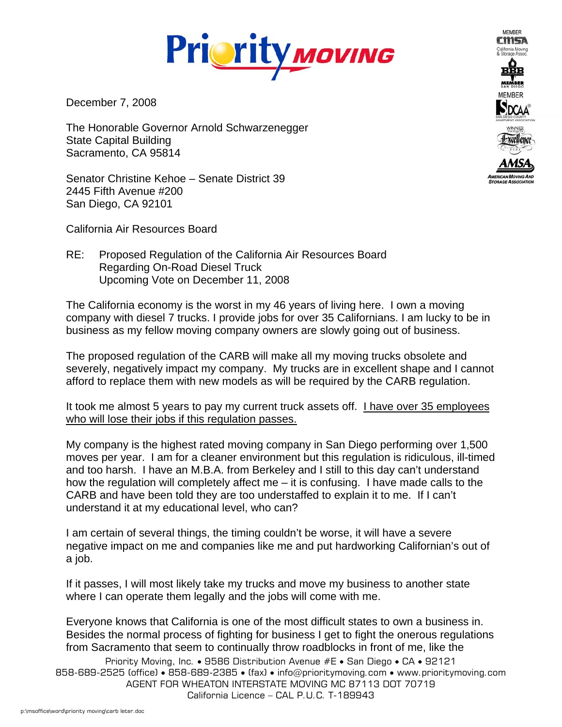

December 7, 2008

The Honorable Governor Arnold Schwarzenegger State Capital Building Sacramento, CA 95814

Senator Christine Kehoe – Senate District 39 2445 Fifth Avenue #200 San Diego, CA 92101

California Air Resources Board

## RE: Proposed Regulation of the California Air Resources Board Regarding On-Road Diesel Truck Upcoming Vote on December 11, 2008

The California economy is the worst in my 46 years of living here. I own a moving company with diesel 7 trucks. I provide jobs for over 35 Californians. I am lucky to be in business as my fellow moving company owners are slowly going out of business.

The proposed regulation of the CARB will make all my moving trucks obsolete and severely, negatively impact my company. My trucks are in excellent shape and I cannot afford to replace them with new models as will be required by the CARB regulation.

It took me almost 5 years to pay my current truck assets off. I have over 35 employees who will lose their jobs if this regulation passes.

My company is the highest rated moving company in San Diego performing over 1,500 moves per year. I am for a cleaner environment but this regulation is ridiculous, ill-timed and too harsh. I have an M.B.A. from Berkeley and I still to this day can't understand how the regulation will completely affect me – it is confusing. I have made calls to the CARB and have been told they are too understaffed to explain it to me. If I can't understand it at my educational level, who can?

I am certain of several things, the timing couldn't be worse, it will have a severe negative impact on me and companies like me and put hardworking Californian's out of a job.

If it passes, I will most likely take my trucks and move my business to another state where I can operate them legally and the jobs will come with me.

Everyone knows that California is one of the most difficult states to own a business in. Besides the normal process of fighting for business I get to fight the onerous regulations from Sacramento that seem to continually throw roadblocks in front of me, like the

Priority Moving, Inc. • 9586 Distribution Avenue #E • San Diego • CA • 92121 858-689-2525 (office) • 858-689-2385 • (fax) • info@prioritymoving.com • www.prioritymoving.com AGENT FOR WHEATON INTERSTATE MOVING MC 87113 DOT 70719 California Licence – CAL P.U.C. T-189943



**MEMBER**